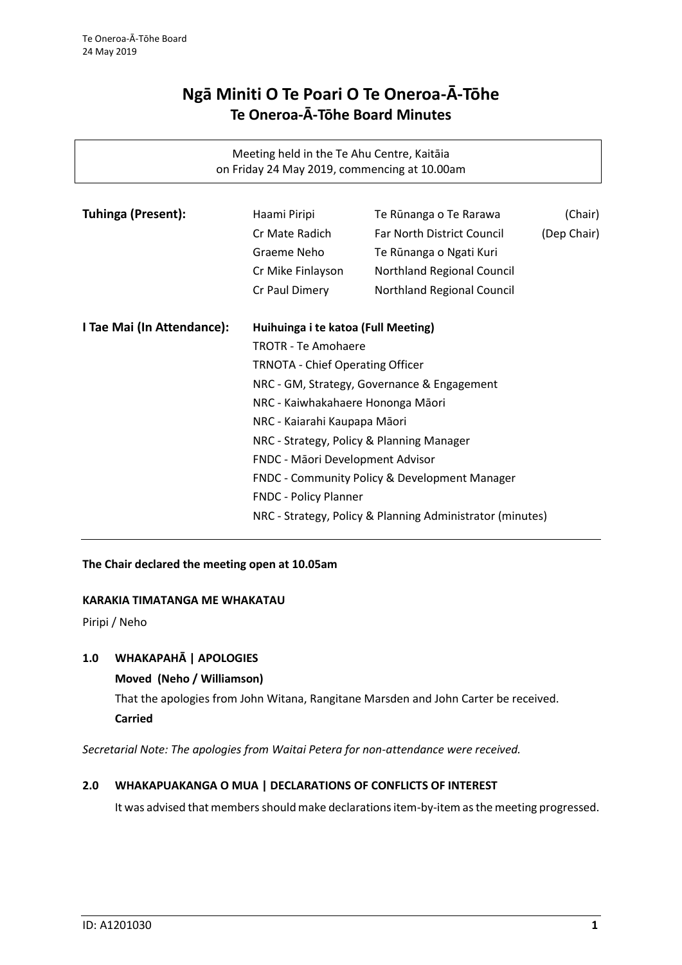# **Ngā Miniti O Te Poari O Te Oneroa-Ā-Tōhe Te Oneroa-Ā-Tōhe Board Minutes**

Meeting held in the Te Ahu Centre, Kaitāia on Friday 24 May 2019, commencing at 10.00am

| <b>Tuhinga (Present):</b>  | Haami Piripi                                                                                                                                                                                                                                 | Te Rūnanga o Te Rarawa            | (Chair)     |
|----------------------------|----------------------------------------------------------------------------------------------------------------------------------------------------------------------------------------------------------------------------------------------|-----------------------------------|-------------|
|                            | Cr Mate Radich                                                                                                                                                                                                                               | <b>Far North District Council</b> | (Dep Chair) |
|                            | Graeme Neho                                                                                                                                                                                                                                  | Te Rūnanga o Ngati Kuri           |             |
|                            | Cr Mike Finlayson                                                                                                                                                                                                                            | Northland Regional Council        |             |
|                            | Cr Paul Dimery                                                                                                                                                                                                                               | Northland Regional Council        |             |
| I Tae Mai (In Attendance): | Huihuinga i te katoa (Full Meeting)                                                                                                                                                                                                          |                                   |             |
|                            | <b>TROTR - Te Amohaere</b>                                                                                                                                                                                                                   |                                   |             |
|                            | <b>TRNOTA - Chief Operating Officer</b><br>NRC - GM, Strategy, Governance & Engagement<br>NRC - Kaiwhakahaere Hononga Māori<br>NRC - Kaiarahi Kaupapa Māori<br>NRC - Strategy, Policy & Planning Manager<br>FNDC - Māori Development Advisor |                                   |             |
|                            |                                                                                                                                                                                                                                              |                                   |             |
|                            |                                                                                                                                                                                                                                              |                                   |             |
|                            |                                                                                                                                                                                                                                              |                                   |             |
|                            |                                                                                                                                                                                                                                              |                                   |             |
|                            |                                                                                                                                                                                                                                              |                                   |             |
|                            |                                                                                                                                                                                                                                              |                                   |             |
|                            | FNDC - Community Policy & Development Manager<br><b>FNDC - Policy Planner</b><br>NRC - Strategy, Policy & Planning Administrator (minutes)                                                                                                   |                                   |             |
|                            |                                                                                                                                                                                                                                              |                                   |             |
|                            |                                                                                                                                                                                                                                              |                                   |             |
|                            |                                                                                                                                                                                                                                              |                                   |             |

# **The Chair declared the meeting open at 10.05am**

## **KARAKIA TIMATANGA ME WHAKATAU**

Piripi / Neho

# **1.0 WHAKAPAHĀ | APOLOGIES**

## **Moved (Neho / Williamson)**

That the apologies from John Witana, Rangitane Marsden and John Carter be received. **Carried**

*Secretarial Note: The apologies from Waitai Petera for non-attendance were received.*

## **2.0 WHAKAPUAKANGA O MUA | DECLARATIONS OF CONFLICTS OF INTEREST**

It was advised that members should make declarations item-by-item as the meeting progressed.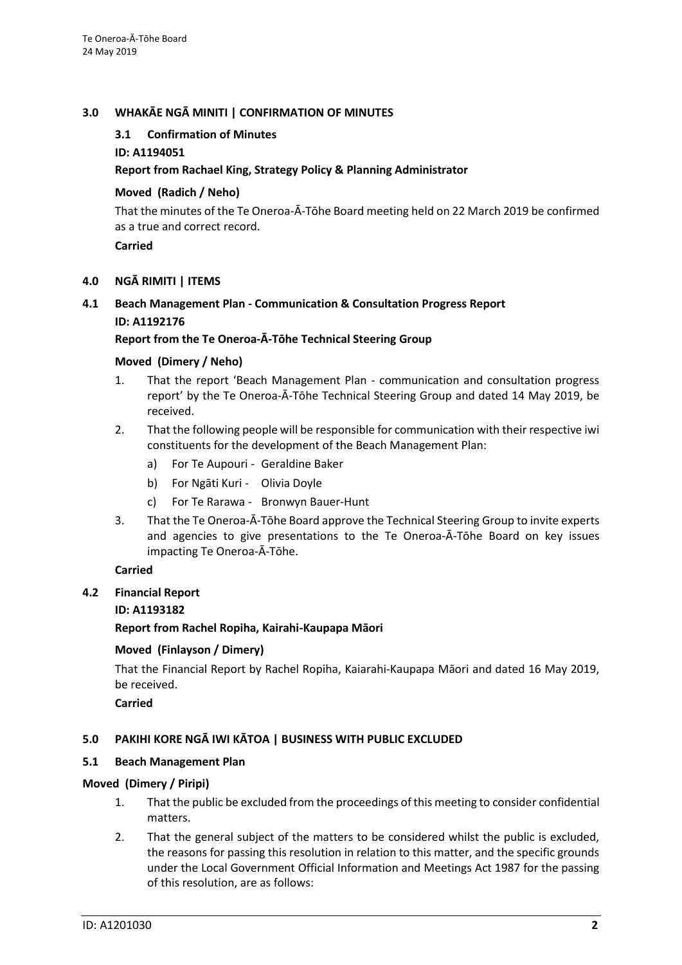## **3.0 WHAKĀE NGĀ MINITI | CONFIRMATION OF MINUTES**

## **3.1 Confirmation of Minutes**

## **ID: A1194051**

## **Report from Rachael King, Strategy Policy & Planning Administrator**

## **Moved (Radich / Neho)**

That the minutes of the Te Oneroa-Ā-Tōhe Board meeting held on 22 March 2019 be confirmed as a true and correct record.

**Carried**

#### **4.0 NGĀ RIMITI | ITEMS**

## **4.1 Beach Management Plan - Communication & Consultation Progress Report ID: A1192176**

## **Report from the Te Oneroa-Ā-Tōhe Technical Steering Group**

## **Moved (Dimery / Neho)**

- 1. That the report 'Beach Management Plan communication and consultation progress report' by the Te Oneroa-Ā-Tōhe Technical Steering Group and dated 14 May 2019, be received.
- 2. That the following people will be responsible for communication with their respective iwi constituents for the development of the Beach Management Plan:
	- a) For Te Aupouri Geraldine Baker
	- b) For Ngāti Kuri Olivia Doyle
	- c) For Te Rarawa Bronwyn Bauer-Hunt
- 3. That the Te Oneroa-Ā-Tōhe Board approve the Technical Steering Group to invite experts and agencies to give presentations to the Te Oneroa-Ā-Tōhe Board on key issues impacting Te Oneroa-Ā-Tōhe.

## **Carried**

**4.2 Financial Report**

## **ID: A1193182**

## **Report from Rachel Ropiha, Kairahi-Kaupapa Māori**

## **Moved (Finlayson / Dimery)**

That the Financial Report by Rachel Ropiha, Kaiarahi-Kaupapa Māori and dated 16 May 2019, be received.

**Carried**

# **5.0 PAKIHI KORE NGĀ IWI KĀTOA | BUSINESS WITH PUBLIC EXCLUDED**

## **5.1 Beach Management Plan**

## **Moved (Dimery / Piripi)**

- 1. That the public be excluded from the proceedings of this meeting to consider confidential matters.
- 2. That the general subject of the matters to be considered whilst the public is excluded, the reasons for passing this resolution in relation to this matter, and the specific grounds under the Local Government Official Information and Meetings Act 1987 for the passing of this resolution, are as follows: